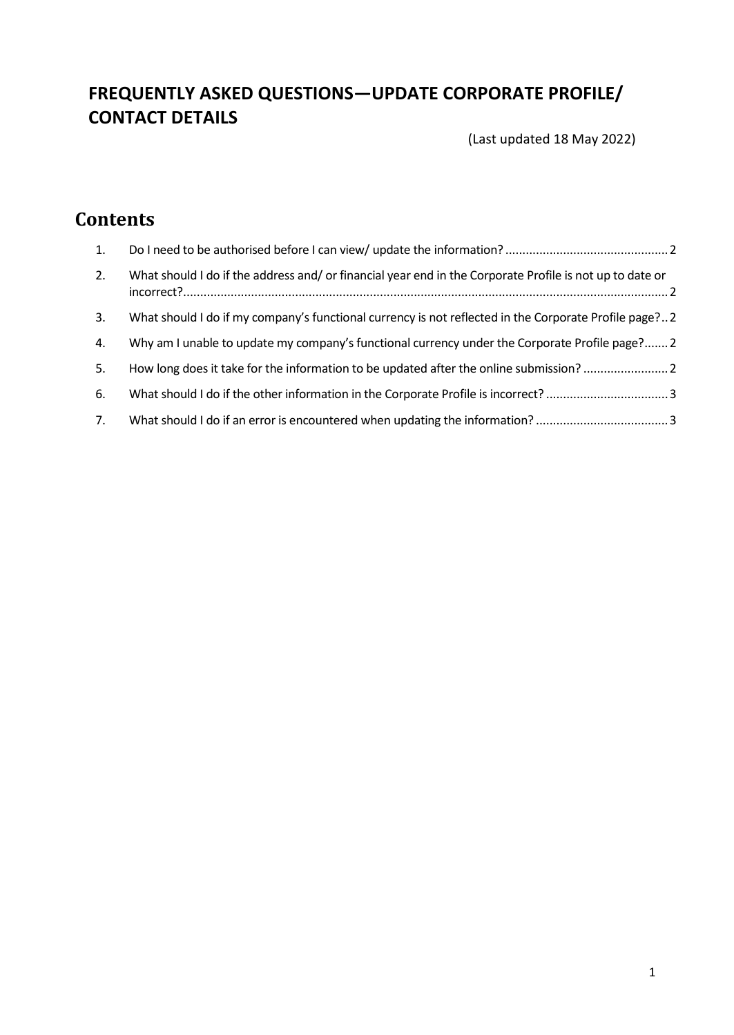# **FREQUENTLY ASKED QUESTIONS—UPDATE CORPORATE PROFILE/ CONTACT DETAILS**

(Last updated 18 May 2022)

# **Contents**

| 1. |                                                                                                          |
|----|----------------------------------------------------------------------------------------------------------|
| 2. | What should I do if the address and/ or financial year end in the Corporate Profile is not up to date or |
| 3. | What should I do if my company's functional currency is not reflected in the Corporate Profile page? 2   |
| 4. | Why am I unable to update my company's functional currency under the Corporate Profile page? 2           |
| 5. | How long does it take for the information to be updated after the online submission?                     |
| 6. |                                                                                                          |
| 7. |                                                                                                          |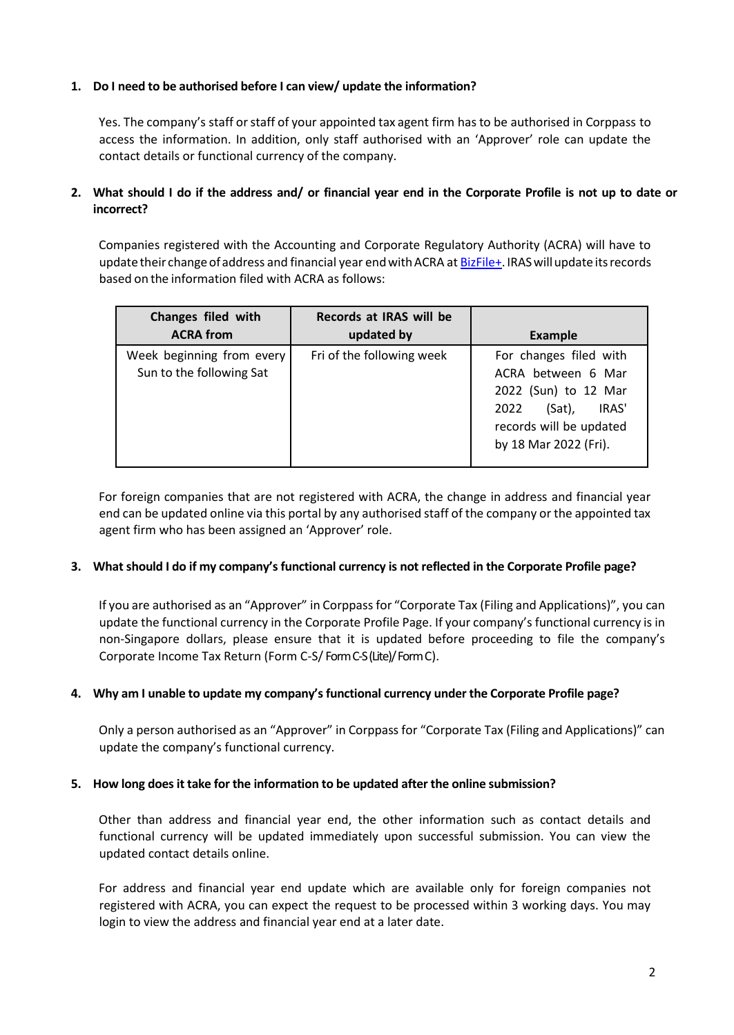### <span id="page-1-0"></span>**1. Do I need to be authorised before I can view/ update the information?**

Yes. The company's staff or staff of your appointed tax agent firm has to be authorised in Corppass to access the information. In addition, only staff authorised with an 'Approver' role can update the contact details or functional currency of the company.

## <span id="page-1-1"></span>**2. What should I do if the address and/ or financial year end in the Corporate Profile is not up to date or incorrect?**

Companies registered with the Accounting and Corporate Regulatory Authority (ACRA) will have to update their change of address and financial year end with ACRA a[t BizFile+.](https://www.bizfile.gov.sg/) IRAS will update its records based on the information filed with ACRA as follows:

| Changes filed with                                    | Records at IRAS will be   |                                                                                                                                                     |
|-------------------------------------------------------|---------------------------|-----------------------------------------------------------------------------------------------------------------------------------------------------|
| <b>ACRA from</b>                                      | updated by                | <b>Example</b>                                                                                                                                      |
| Week beginning from every<br>Sun to the following Sat | Fri of the following week | For changes filed with<br>ACRA between 6 Mar<br>2022 (Sun) to 12 Mar<br>IRAS'<br>(Sat),<br>2022<br>records will be updated<br>by 18 Mar 2022 (Fri). |

For foreign companies that are not registered with ACRA, the change in address and financial year end can be updated online via this portal by any authorised staff of the company or the appointed tax agent firm who has been assigned an 'Approver' role.

#### <span id="page-1-2"></span>**3. What should I do if my company's functional currency is not reflected in the Corporate Profile page?**

If you are authorised as an "Approver" in Corppass for "Corporate Tax (Filing and Applications)", you can update the functional currency in the Corporate Profile Page. If your company's functional currency is in non-Singapore dollars, please ensure that it is updated before proceeding to file the company's Corporate Income Tax Return (Form C-S/ Form C-S (Lite)/ Form C).

#### <span id="page-1-3"></span>**4. Why am I unable to update my company's functional currency under the Corporate Profile page?**

Only a person authorised as an "Approver" in Corppass for "Corporate Tax (Filing and Applications)" can update the company's functional currency.

#### <span id="page-1-4"></span>**5. How long does it take for the information to be updated after the online submission?**

Other than address and financial year end, the other information such as contact details and functional currency will be updated immediately upon successful submission. You can view the updated contact details online.

For address and financial year end update which are available only for foreign companies not registered with ACRA, you can expect the request to be processed within 3 working days. You may login to view the address and financial year end at a later date.